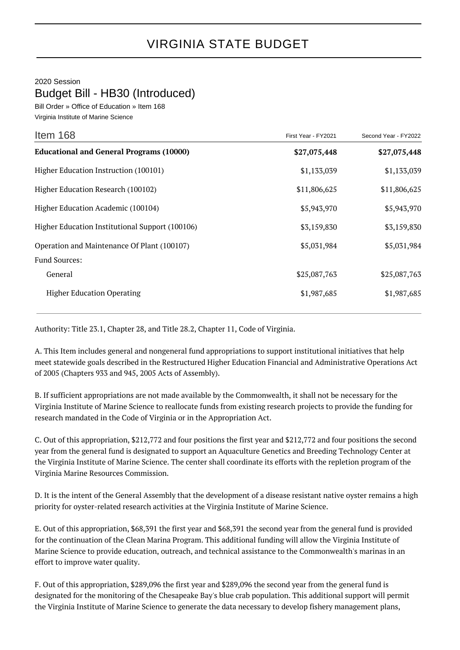2020 Session

## Budget Bill - HB30 (Introduced)

Bill Order » Office of Education » Item 168 Virginia Institute of Marine Science

| Item 168                                        | First Year - FY2021 | Second Year - FY2022 |
|-------------------------------------------------|---------------------|----------------------|
| <b>Educational and General Programs (10000)</b> | \$27,075,448        | \$27,075,448         |
| Higher Education Instruction (100101)           | \$1,133,039         | \$1,133,039          |
| Higher Education Research (100102)              | \$11,806,625        | \$11,806,625         |
| Higher Education Academic (100104)              | \$5,943,970         | \$5,943,970          |
| Higher Education Institutional Support (100106) | \$3,159,830         | \$3,159,830          |
| Operation and Maintenance Of Plant (100107)     | \$5,031,984         | \$5,031,984          |
| <b>Fund Sources:</b>                            |                     |                      |
| General                                         | \$25,087,763        | \$25,087,763         |
| <b>Higher Education Operating</b>               | \$1,987,685         | \$1,987,685          |

Authority: Title 23.1, Chapter 28, and Title 28.2, Chapter 11, Code of Virginia.

A. This Item includes general and nongeneral fund appropriations to support institutional initiatives that help meet statewide goals described in the Restructured Higher Education Financial and Administrative Operations Act of 2005 (Chapters 933 and 945, 2005 Acts of Assembly).

B. If sufficient appropriations are not made available by the Commonwealth, it shall not be necessary for the Virginia Institute of Marine Science to reallocate funds from existing research projects to provide the funding for research mandated in the Code of Virginia or in the Appropriation Act.

C. Out of this appropriation, \$212,772 and four positions the first year and \$212,772 and four positions the second year from the general fund is designated to support an Aquaculture Genetics and Breeding Technology Center at the Virginia Institute of Marine Science. The center shall coordinate its efforts with the repletion program of the Virginia Marine Resources Commission.

D. It is the intent of the General Assembly that the development of a disease resistant native oyster remains a high priority for oyster-related research activities at the Virginia Institute of Marine Science.

E. Out of this appropriation, \$68,391 the first year and \$68,391 the second year from the general fund is provided for the continuation of the Clean Marina Program. This additional funding will allow the Virginia Institute of Marine Science to provide education, outreach, and technical assistance to the Commonwealth's marinas in an effort to improve water quality.

F. Out of this appropriation, \$289,096 the first year and \$289,096 the second year from the general fund is designated for the monitoring of the Chesapeake Bay's blue crab population. This additional support will permit the Virginia Institute of Marine Science to generate the data necessary to develop fishery management plans,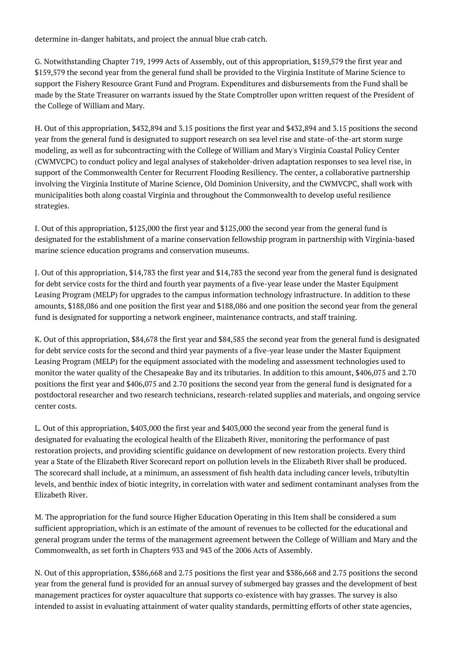determine in-danger habitats, and project the annual blue crab catch.

G. Notwithstanding Chapter 719, 1999 Acts of Assembly, out of this appropriation, \$159,579 the first year and \$159,579 the second year from the general fund shall be provided to the Virginia Institute of Marine Science to support the Fishery Resource Grant Fund and Program. Expenditures and disbursements from the Fund shall be made by the State Treasurer on warrants issued by the State Comptroller upon written request of the President of the College of William and Mary.

H. Out of this appropriation, \$432,894 and 3.15 positions the first year and \$432,894 and 3.15 positions the second year from the general fund is designated to support research on sea level rise and state-of-the-art storm surge modeling, as well as for subcontracting with the College of William and Mary's Virginia Coastal Policy Center (CWMVCPC) to conduct policy and legal analyses of stakeholder-driven adaptation responses to sea level rise, in support of the Commonwealth Center for Recurrent Flooding Resiliency. The center, a collaborative partnership involving the Virginia Institute of Marine Science, Old Dominion University, and the CWMVCPC, shall work with municipalities both along coastal Virginia and throughout the Commonwealth to develop useful resilience strategies.

I. Out of this appropriation, \$125,000 the first year and \$125,000 the second year from the general fund is designated for the establishment of a marine conservation fellowship program in partnership with Virginia-based marine science education programs and conservation museums.

J. Out of this appropriation, \$14,783 the first year and \$14,783 the second year from the general fund is designated for debt service costs for the third and fourth year payments of a five-year lease under the Master Equipment Leasing Program (MELP) for upgrades to the campus information technology infrastructure. In addition to these amounts, \$188,086 and one position the first year and \$188,086 and one position the second year from the general fund is designated for supporting a network engineer, maintenance contracts, and staff training.

K. Out of this appropriation, \$84,678 the first year and \$84,585 the second year from the general fund is designated for debt service costs for the second and third year payments of a five-year lease under the Master Equipment Leasing Program (MELP) for the equipment associated with the modeling and assessment technologies used to monitor the water quality of the Chesapeake Bay and its tributaries. In addition to this amount, \$406,075 and 2.70 positions the first year and \$406,075 and 2.70 positions the second year from the general fund is designated for a postdoctoral researcher and two research technicians, research-related supplies and materials, and ongoing service center costs.

L. Out of this appropriation, \$403,000 the first year and \$403,000 the second year from the general fund is designated for evaluating the ecological health of the Elizabeth River, monitoring the performance of past restoration projects, and providing scientific guidance on development of new restoration projects. Every third year a State of the Elizabeth River Scorecard report on pollution levels in the Elizabeth River shall be produced. The scorecard shall include, at a minimum, an assessment of fish health data including cancer levels, tributyltin levels, and benthic index of biotic integrity, in correlation with water and sediment contaminant analyses from the Elizabeth River.

M. The appropriation for the fund source Higher Education Operating in this Item shall be considered a sum sufficient appropriation, which is an estimate of the amount of revenues to be collected for the educational and general program under the terms of the management agreement between the College of William and Mary and the Commonwealth, as set forth in Chapters 933 and 943 of the 2006 Acts of Assembly.

N. Out of this appropriation, \$386,668 and 2.75 positions the first year and \$386,668 and 2.75 positions the second year from the general fund is provided for an annual survey of submerged bay grasses and the development of best management practices for oyster aquaculture that supports co-existence with bay grasses. The survey is also intended to assist in evaluating attainment of water quality standards, permitting efforts of other state agencies,